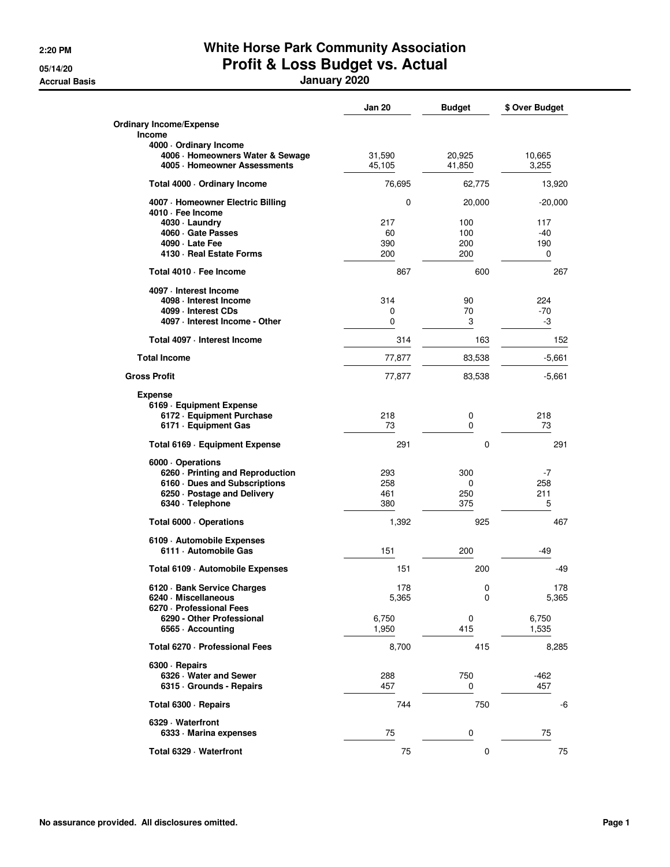## **2:20 PM White Horse Park Community Association 05/14/20 Profit & Loss Budget vs. Actual**

**Accrual Basis January 2020**

|                                                        | Jan 20   | <b>Budget</b> | \$ Over Budget |
|--------------------------------------------------------|----------|---------------|----------------|
| <b>Ordinary Income/Expense</b>                         |          |               |                |
| <b>Income</b>                                          |          |               |                |
| 4000 Ordinary Income                                   |          |               |                |
| 4006 · Homeowners Water & Sewage                       | 31,590   | 20,925        | 10,665         |
| 4005 · Homeowner Assessments                           | 45,105   | 41,850        | 3,255          |
| Total 4000 · Ordinary Income                           | 76,695   | 62,775        | 13,920         |
| 4007 - Homeowner Electric Billing<br>4010 · Fee Income | $\Omega$ | 20,000        | $-20,000$      |
| 4030 · Laundry                                         | 217      | 100           | 117            |
| 4060 Gate Passes                                       | 60       | 100           | $-40$          |
| 4090 · Late Fee                                        | 390      | 200           | 190            |
| 4130 · Real Estate Forms                               | 200      | 200           | 0              |
| Total 4010 - Fee Income                                | 867      | 600           | 267            |
| 4097 - Interest Income                                 |          |               |                |
| 4098 · Interest Income                                 | 314      | 90            | 224            |
| 4099 - Interest CDs                                    | 0        | 70            | $-70$          |
| 4097 - Interest Income - Other                         | 0        | 3             | -3             |
| Total 4097 - Interest Income                           | 314      | 163           | 152            |
| <b>Total Income</b>                                    | 77,877   | 83,538        | $-5,661$       |
| <b>Gross Profit</b>                                    | 77,877   | 83,538        | -5,661         |
| Expense                                                |          |               |                |
| 6169 - Equipment Expense                               |          |               |                |
| 6172 - Equipment Purchase                              | 218      | 0             | 218            |
| 6171 - Equipment Gas                                   | 73       | 0             | 73             |
| Total 6169 - Equipment Expense                         | 291      | 0             | 291            |
| 6000 · Operations                                      |          |               |                |
| 6260 - Printing and Reproduction                       | 293      | 300           | -7             |
| 6160 Dues and Subscriptions                            | 258      | 0             | 258            |
| 6250 · Postage and Delivery                            | 461      | 250           | 211            |
| 6340 · Telephone                                       | 380      | 375           | 5              |
| Total 6000 · Operations                                | 1,392    | 925           | 467            |
| 6109 - Automobile Expenses                             |          |               |                |
| 6111 - Automobile Gas                                  | 151      | 200           | -49            |
| Total 6109 - Automobile Expenses                       | 151      | 200           | -49            |
| 6120 · Bank Service Charges                            | 178      | 0             | 178            |
| 6240 · Miscellaneous                                   | 5,365    | $\pmb{0}$     | 5,365          |
| 6270 - Professional Fees                               |          |               |                |
| 6290 - Other Professional                              | 6,750    | 0             | 6,750          |
| 6565 Accounting                                        | 1,950    | 415           | 1,535          |
| Total 6270 - Professional Fees                         | 8,700    | 415           | 8,285          |
| 6300 · Repairs                                         |          |               |                |
| 6326 Water and Sewer                                   | 288      | 750           | -462           |
| 6315 Grounds - Repairs                                 | 457      | 0             | 457            |
| Total 6300 - Repairs                                   | 744      | 750           | -6             |
| 6329 · Waterfront                                      |          |               |                |
| 6333 Marina expenses                                   | 75       | 0             | 75             |
| Total 6329 · Waterfront                                | 75       | 0             | 75             |